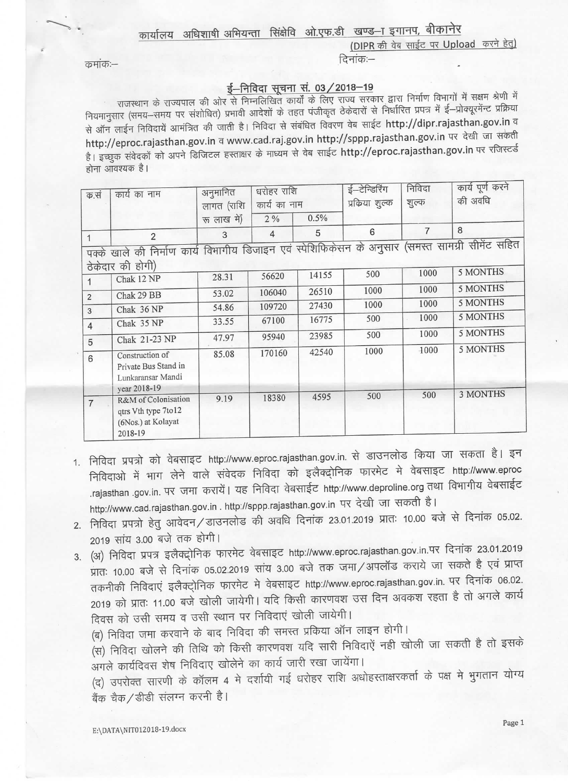## कार्यालय अधिशाषी अभियन्ता सिंक्षेवि ओ.एफ.डी खण्ड-ा इगानप, बीकानेर

(DIPR की वेब साईट पर Upload करने हेतू) दिनांक:-

कुमांक :-

## ई-निविदा सचना सं. 03 / 2018-19

राजस्थान के राज्यपाल की ओर से निम्नलिखित कार्यों के लिए राज्य सरकार द्वारा निर्माण विभागों में सक्षम श्रेणी में नियमानुसार (समय–समय पर संशोधित) प्रभावी आदेशों के तहत पंजीकृत ठेकेदारों से निर्धारित प्रपत्र में ई–प्रोक्यूरमेंन्ट प्रक्रिया से ऑन लाईन निविदायें आमंत्रित की जाती है। निविदा से संबंधित विवरण वेब साईट http://dipr.rajasthan.gov.in व http://eproc.rajasthan.gov.in व www.cad.raj.gov.in http://sppp.rajasthan.gov.in पर देखी जा संकेती है। इच्छुक संवेदकों को अपने डिजिटल हस्ताक्षर के माध्यम से वेब साईट http://eproc.rajasthan.gov.in पर रजिस्टर्ड होना आवश्यक है।

| क.सं                                                                                                                 | कार्य का नाम                                                                 | अनुमानित<br>लागत (राशि<br>रू लाख में) | धरोहर राशि<br>कार्य का नाम<br>2% | 0.5%  | ई-टेन्डिरिंग<br>प्रकिया शुल्क | निविदा<br>शुल्क | कार्य पूर्ण करने<br>की अवधि |
|----------------------------------------------------------------------------------------------------------------------|------------------------------------------------------------------------------|---------------------------------------|----------------------------------|-------|-------------------------------|-----------------|-----------------------------|
| 1                                                                                                                    | $\overline{2}$                                                               | 3                                     | $\overline{4}$                   | 5     | 6                             | $\overline{7}$  | 8                           |
| पक्के खाले की निर्माण कार्य विभागीय डिजाइन एवं स्पेशिफिकेसन के अनुसार (समस्त सामग्री सीमेंट सहित<br>ठेकेदार की होगी) |                                                                              |                                       |                                  |       |                               |                 |                             |
|                                                                                                                      | Chak 12 NP                                                                   | 28.31                                 | 56620                            | 14155 | 500                           | 1000            | 5 MONTHS                    |
| 2                                                                                                                    | Chak 29 BB                                                                   | 53.02                                 | 106040                           | 26510 | 1000                          | 1000            | 5 MONTHS                    |
| 3                                                                                                                    | Chak 36 NP                                                                   | 54.86                                 | 109720                           | 27430 | 1000                          | 1000            | 5 MONTHS                    |
| $\overline{4}$                                                                                                       | Chak 35 NP                                                                   | 33.55                                 | 67100                            | 16775 | 500                           | 1000            | 5 MONTHS                    |
| 5                                                                                                                    | Chak 21-23 NP                                                                | 47.97                                 | 95940                            | 23985 | 500                           | 1000            | 5 MONTHS                    |
| 6                                                                                                                    | Construction of<br>Private Bus Stand in<br>Lunkaransar Mandi<br>year 2018-19 | 85.08                                 | 170160                           | 42540 | 1000                          | 1000            | 5 MONTHS                    |
| $\overline{7}$                                                                                                       | R&M of Colonisation<br>qtrs Vth type 7to12<br>(6Nos.) at Kolayat<br>2018-19  | 9.19                                  | 18380                            | 4595  | 500                           | 500             | <b>3 MONTHS</b>             |

- 1. निविदा प्रपत्रो को वेबसाइट http://www.eproc.rajasthan.gov.in. से डाउनलोड किया जा सकता है। इन निविदाओ में भाग लेने वाले संवेदक निविदा को इलैक्ट्रोनिक फारमेट मे वेबसाइट http://www.eproc rajasthan .gov.in. पर जमा करायें। यह निविदा वेबसाईट http://www.deproline.org तथा विभागीय वेबसाईट http://www.cad.rajasthan.gov.in . http://sppp.rajasthan.gov.in पर देखी जा सकती है।
- 2. निविदा प्रपत्रो हेतु आवेदन/डाउनलोड की अवधि दिनांक 23.01.2019 प्रातः 10.00 बजे से दिनांक 05.02. 2019 सांय 3.00 बजे तक होगी।
- 3. (अ) निविदा प्रपत्र इलैक्ट्रोनिक फारमेट वेबसाइट http://www.eproc.rajasthan.gov.in.पर दिनांक 23.01.2019 प्रातः 10.00 बजे से दिनांक 05.02.2019 सांय 3.00 बजे तक जमा/अपलॉड कराये जा सकते है एवं प्राप्त तकनीकी निविदाएं इलैक्ट्रोनिक फारमेट मे वेबसाइट http://www.eproc.rajasthan.gov.in. पर दिनांक 06.02. 2019 को प्रातः 11.00 बजे खोली जायेगी। यदि किसी कारणवश उस दिन अवकश रहता है तो अगले कार्य दिवस को उसी समय व उसी स्थान पर निविदाएं खोली जायेगी।

(ब) निविदा जमा करवाने के बाद निविदा की समस्त प्रकिया ऑन लाइन होगी।

(स) निविदा खोलने की तिथि को किसी कारणवश यदि सारी निविदाएें नही खोली जा सकती है तो इसके अगले कार्यदिवस शेष निविदाए खोलेने का कार्य जारी रखा जायेंगा।

(द) उपरोक्त सारणी के कॉलम 4 मे दर्शायी गई धरोहर राशि अधोहस्ताक्षरकर्ता के पक्ष मे भुगतान योग्य बैंक चैक/डीडी संलग्न करनी है।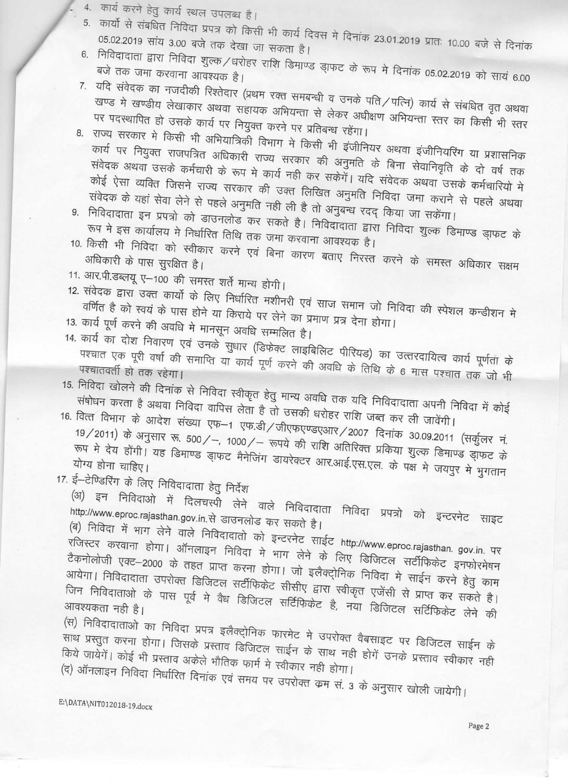- 4. कार्य करने हेतु कार्य स्थल उपलब्ध है।
- 5. कार्यो से संबधित निविदा प्रपत्र को किसी भी कार्य दिवस मे दिनांक 23.01.2019 प्रातः 10.00 बजे से दिनांक 05.02.2019 सांय 3.00 बजे तक देखा जा सकता है।
- 6. निविदादाता द्वारा निविदा शुल्क/धरोहर राशि डिमाण्ड ड्ाफट के रूप मे दिनांक 05.02.2019 को सायं 6.00
- 7. यदि संवेदक का नजदीकी रिश्तेदार (प्रथम रक्त समबन्धी व उनके पति/पत्नि) कार्य से संबधित वृत अथवा खण्ड मे खण्डीय लेखाकार अथवा सहायक अभियन्ता से लेकर अधीक्षण अभियन्ता स्तर का किसी भी स्तर पर पदस्थापित हो उसके कार्य पर नियुक्त करने पर प्रतिबन्ध रहेंगा।
- 8. राज्य सरकार मे किसी भी अभियात्रिकी विभाग मे किसी भी इंजीनियर अथवा इंजीनियरिंग या प्रशासनिक कार्य पर नियुक्त राजपत्रित अधिकारी राज्य सरकार की अनुमति के बिना सेवानिवृति के दो वर्ष तक संवेदक अथवा उसके कर्मचारी के रूप मे कार्य नही कर सकेगें। यदि संवेदक अथवा उसके कर्मचारियो मे कोई ऐसा व्यक्ति जिसने राज्य सरकार की उक्त लिखित अनुमति निविदा जमा कराने से पहले अथवा संवेदक के यहां सेवा लेने से पहले अनुमति नही ली है तो अनुबन्ध रदद् किया जा सकेंगा।
- 9. निविदादाता इन प्रपत्रो को डाउनलोड कर सकते है। निविदादाता द्वारा निविदा शुल्क डिमाण्ड ड्राफट के रूप मे इस कार्यालय मे निर्धारित तिथि तक जमा करवाना आवश्यक है।
- 10. किसी भी निविदा को स्वीकार करने एवं बिना कारण बताए निरस्त करने के समस्त अधिकार सक्षम
- 11. आर.पी.डब्लयू ए-100 की समस्त शर्ते मान्य होगी।

12. संवेदक द्वारा उक्त कार्यो के लिए निर्धारित मशीनरी एवं साज समान जो निविदा की स्पेशल कन्डीशन मे वर्णित है को स्वयं के पास होने या किराये पर लेने का प्रमाण प्रत्र देना होगा। 13. कार्य पूर्ण करने की अवधि मे मानसून अवधि सम्मलित है।

14. कार्य का दोश निवारण एवं उनके सुधार (डिफेक्ट लाइबिलिट पीरियड) का उत्तरदायित्व कार्य पूर्णता के पश्चात एक पूरी वर्षा की समाप्ति या कार्य पूर्ण करने की अवधि के तिथि के 6 मास पश्चात तक जो भी

- 15. निविदा खोलने की दिनांक से निविदा स्वीकृत हेतु मान्य अवधि तक यदि निविदादाता अपनी निविदा में कोई संषोधन करता है अथवा निविदा वापिस लेता है तो उसकी धरोहर राशि जब्त कर ली जावेंगी।
- 16. वित्त विभाग के आदेश संख्या एफ-1 एफ.डी/जीएफएण्डएआर/2007 दिनांक 30.09.2011 (सर्कुलर नं. 19/2011) के अनुसार रू. 500/–, 1000/– रूपये की राशि अतिरिक्त प्रकिया शुल्क डिमाण्ड ड्मफट के रूप मे देय होंगी। यह डिमाण्ड डा़फट मैनेजिंग डायरेक्टर आर.आई.एस.एल. के पक्ष मे जयपुर मे भुगतान योग्य होना चाहिए।
- 17. ई–टेण्डिरिंग के लिए निविदादाता हेतु निर्देश

.<br>(अ) इन निविदाओ में दिलचस्पी लेने वाले निविदादाता निविदा प्रपत्रो को इन्टरनेट साइट http://www.eproc.rajasthan.gov.in.से डाउनलोड कर सकते है।

(ब) निविदा में भाग लेने वाले निविदादातो को इन्टरनेट साईट http://www.eproc.rajasthan. gov.in. पर ्<br>रजिस्टर करवाना होगा। ऑनलाइन निविदा मे भाग लेने के लिए डिजिटल सर्टीफिकेट इनफोरमेषन टैकनोलोजी एक्ट–2000 के तहत प्राप्त करना होगा। जो इलैक्ट्ोनिक निविदा मे साईन करने हेतु काम आयेगा। निविदादाता उपरोक्त डिजिटल सर्टीफिकेट सीसीए द्वारा स्वीकृत एजेंसी से प्राप्त कर सकते है। जिन निविदाताओं के पास पूर्व में वैध डिजिटल सर्टिफिकेट है, नया डिजिटल सर्टिफिकेट लेने की

(स) निविदादाताओ का निविदा प्रपत्र इलैक्ट्रोनिक फारमेट मे उपरोक्त वैबसाइट पर डिजिटल साईन के .<br>साथ प्रस्तुत करना होगा। जिसके प्रस्ताव डिजिटल साईन के साथ नही होगें उनके प्रस्ताव स्वीकार नही किये जायेंगें। कोई भी प्रस्ताव अकेले भौतिक फार्म मे स्वीकार नही होगा। (द) ऑनलाइन निविदा निर्धारित दिनांक एवं समय पर उपरोक्त कम सं. 3 के अनुसार खोली जायेगी।

E:\DATA\NIT012018-19.docx